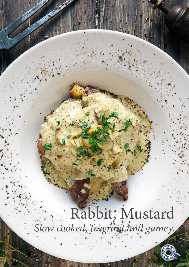# Rabbit, Mustard *Slow cooked, fragrant and gamey.*